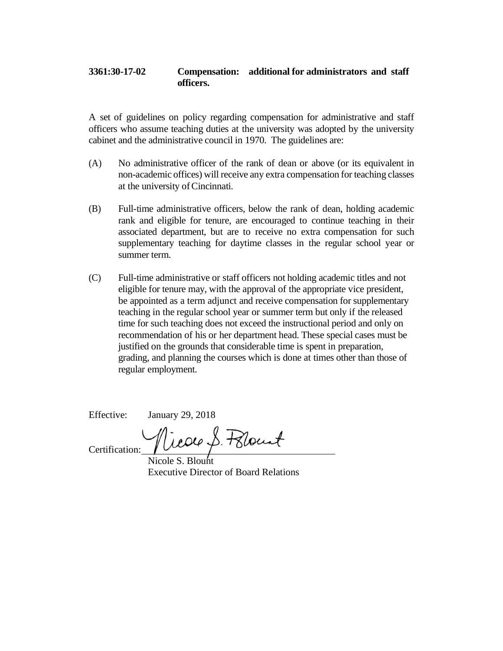## **3361:30-17-02 Compensation: additional for administrators and staff officers.**

A set of guidelines on policy regarding compensation for administrative and staff officers who assume teaching duties at the university was adopted by the university cabinet and the administrative council in 1970. The guidelines are:

- (A) No administrative officer of the rank of dean or above (or its equivalent in non-academic offices) will receive any extra compensation for teaching classes at the university ofCincinnati.
- (B) Full-time administrative officers, below the rank of dean, holding academic rank and eligible for tenure, are encouraged to continue teaching in their associated department, but are to receive no extra compensation for such supplementary teaching for daytime classes in the regular school year or summer term.
- (C) Full-time administrative or staff officers not holding academic titles and not eligible for tenure may, with the approval of the appropriate vice president, be appointed as a term adjunct and receive compensation for supplementary teaching in the regular school year or summer term but only if the released time for such teaching does not exceed the instructional period and only on recommendation of his or her department head. These special cases must be justified on the grounds that considerable time is spent in preparation, grading, and planning the courses which is done at times other than those of regular employment.

Effective: January 29, 2018

rear S. Polant

Certification:

Nicole S. Blount Executive Director of Board Relations